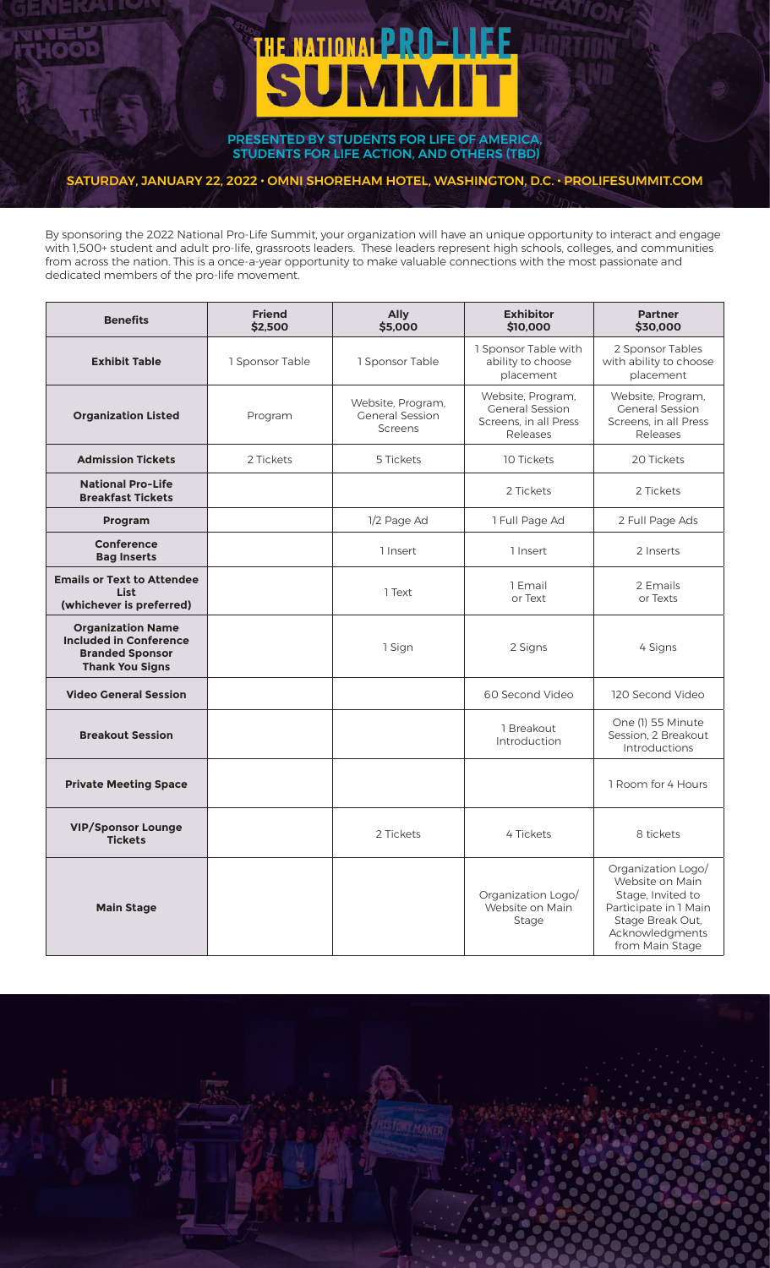# **THE NATIONAL PRO-LIFE SUMM**

PRESENTED BY STUDENTS FOR LIFE OF AMERICA, STUDENTS FOR LIFE ACTION, AND OTHERS (TBD)

# SATURDAY, JANUARY 22, 2022 • OMNI SHOREHAM HOTEL, WASHINGTON, D.C. • PROLIFESUMMIT.COM

By sponsoring the 2022 National Pro-Life Summit, your organization will have an unique opportunity to interact and engage with 1,500+ student and adult pro-life, grassroots leaders. These leaders represent high schools, colleges, and communities from across the nation. This is a once-a-year opportunity to make valuable connections with the most passionate and dedicated members of the pro-life movement.

| <b>Benefits</b>                                                                                               | <b>Friend</b><br>\$2,500 | <b>Ally</b><br>\$5,000                                        | <b>Exhibitor</b><br>\$10,000                                                     | <b>Partner</b><br>\$30,000                                                                                                                    |
|---------------------------------------------------------------------------------------------------------------|--------------------------|---------------------------------------------------------------|----------------------------------------------------------------------------------|-----------------------------------------------------------------------------------------------------------------------------------------------|
| <b>Exhibit Table</b>                                                                                          | 1 Sponsor Table          | 1 Sponsor Table                                               | 1 Sponsor Table with<br>ability to choose<br>placement                           | 2 Sponsor Tables<br>with ability to choose<br>placement                                                                                       |
| <b>Organization Listed</b>                                                                                    | Program                  | Website, Program,<br><b>General Session</b><br><b>Screens</b> | Website, Program,<br><b>General Session</b><br>Screens, in all Press<br>Releases | Website, Program,<br><b>General Session</b><br>Screens, in all Press<br>Releases                                                              |
| <b>Admission Tickets</b>                                                                                      | 2 Tickets                | 5 Tickets                                                     | 10 Tickets                                                                       | 20 Tickets                                                                                                                                    |
| <b>National Pro-Life</b><br><b>Breakfast Tickets</b>                                                          |                          |                                                               | 2 Tickets                                                                        | 2 Tickets                                                                                                                                     |
| Program                                                                                                       |                          | 1/2 Page Ad                                                   | 1 Full Page Ad                                                                   | 2 Full Page Ads                                                                                                                               |
| <b>Conference</b><br><b>Bag Inserts</b>                                                                       |                          | 1 Insert                                                      | 1 Insert                                                                         | 2 Inserts                                                                                                                                     |
| <b>Emails or Text to Attendee</b><br><b>List</b><br>(whichever is preferred)                                  |                          | 1 Text                                                        | 1 Email<br>or Text                                                               | 2 Emails<br>or Texts                                                                                                                          |
| <b>Organization Name</b><br><b>Included in Conference</b><br><b>Branded Sponsor</b><br><b>Thank You Signs</b> |                          | 1 Sign                                                        | 2 Signs                                                                          | 4 Signs                                                                                                                                       |
| <b>Video General Session</b>                                                                                  |                          |                                                               | 60 Second Video                                                                  | 120 Second Video                                                                                                                              |
| <b>Breakout Session</b>                                                                                       |                          |                                                               | 1 Breakout<br>Introduction                                                       | One (1) 55 Minute<br>Session, 2 Breakout<br>Introductions                                                                                     |
| <b>Private Meeting Space</b>                                                                                  |                          |                                                               |                                                                                  | 1 Room for 4 Hours                                                                                                                            |
| <b>VIP/Sponsor Lounge</b><br><b>Tickets</b>                                                                   |                          | 2 Tickets                                                     | 4 Tickets                                                                        | 8 tickets                                                                                                                                     |
| <b>Main Stage</b>                                                                                             |                          |                                                               | Organization Logo/<br>Website on Main<br>Stage                                   | Organization Logo/<br>Website on Main<br>Stage, Invited to<br>Participate in 1 Main<br>Stage Break Out,<br>Acknowledgments<br>from Main Stage |